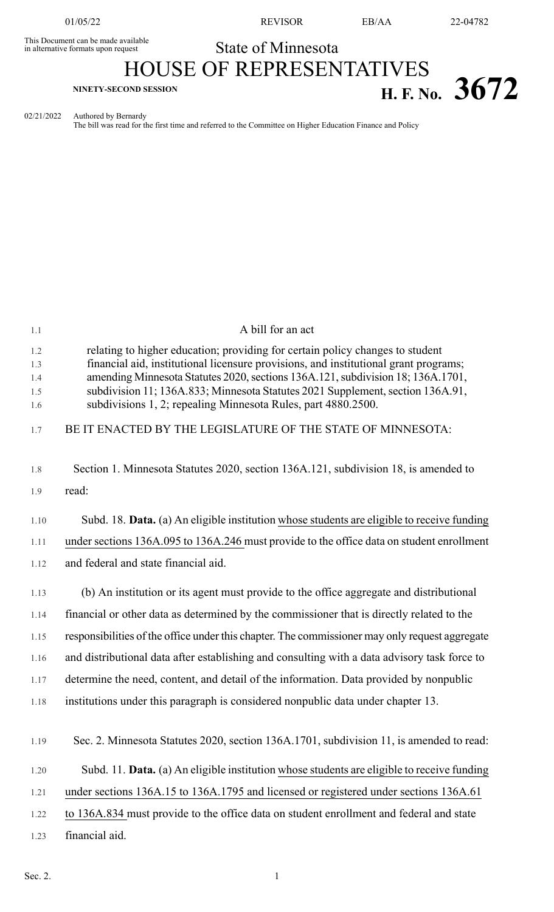This Document can be made available<br>in alternative formats upon request

01/05/22 REVISOR EB/AA 22-04782

## State of Minnesota

# HOUSE OF REPRESENTATIVES **H. F.** No. 3672

02/21/2022 Authored by Bernardy

The bill was read for the first time and referred to the Committee on Higher Education Finance and Policy

| 1.1                             | A bill for an act                                                                                                                                                                                                                                                                                                                                                                                           |  |  |  |
|---------------------------------|-------------------------------------------------------------------------------------------------------------------------------------------------------------------------------------------------------------------------------------------------------------------------------------------------------------------------------------------------------------------------------------------------------------|--|--|--|
| 1.2<br>1.3<br>1.4<br>1.5<br>1.6 | relating to higher education; providing for certain policy changes to student<br>financial aid, institutional licensure provisions, and institutional grant programs;<br>amending Minnesota Statutes 2020, sections 136A.121, subdivision 18; 136A.1701,<br>subdivision 11; 136A.833; Minnesota Statutes 2021 Supplement, section 136A.91,<br>subdivisions 1, 2; repealing Minnesota Rules, part 4880.2500. |  |  |  |
| 1.7                             | BE IT ENACTED BY THE LEGISLATURE OF THE STATE OF MINNESOTA:                                                                                                                                                                                                                                                                                                                                                 |  |  |  |
| 1.8                             | Section 1. Minnesota Statutes 2020, section 136A.121, subdivision 18, is amended to                                                                                                                                                                                                                                                                                                                         |  |  |  |
| 1.9                             | read:                                                                                                                                                                                                                                                                                                                                                                                                       |  |  |  |
| 1.10                            | Subd. 18. Data. (a) An eligible institution whose students are eligible to receive funding                                                                                                                                                                                                                                                                                                                  |  |  |  |
| 1.11                            | under sections 136A.095 to 136A.246 must provide to the office data on student enrollment                                                                                                                                                                                                                                                                                                                   |  |  |  |
| 1.12                            | and federal and state financial aid.                                                                                                                                                                                                                                                                                                                                                                        |  |  |  |
| 1.13                            | (b) An institution or its agent must provide to the office aggregate and distributional                                                                                                                                                                                                                                                                                                                     |  |  |  |
| 1.14                            | financial or other data as determined by the commissioner that is directly related to the                                                                                                                                                                                                                                                                                                                   |  |  |  |
| 1.15                            | responsibilities of the office under this chapter. The commissioner may only request aggregate                                                                                                                                                                                                                                                                                                              |  |  |  |
| 1.16                            | and distributional data after establishing and consulting with a data advisory task force to                                                                                                                                                                                                                                                                                                                |  |  |  |
| 1.17                            | determine the need, content, and detail of the information. Data provided by nonpublic                                                                                                                                                                                                                                                                                                                      |  |  |  |
| 1.18                            | institutions under this paragraph is considered nonpublic data under chapter 13.                                                                                                                                                                                                                                                                                                                            |  |  |  |
|                                 |                                                                                                                                                                                                                                                                                                                                                                                                             |  |  |  |
| 1.19                            | Sec. 2. Minnesota Statutes 2020, section 136A.1701, subdivision 11, is amended to read:                                                                                                                                                                                                                                                                                                                     |  |  |  |
| 1.20                            | Subd. 11. Data. (a) An eligible institution whose students are eligible to receive funding                                                                                                                                                                                                                                                                                                                  |  |  |  |
| 1.21                            | under sections 136A.15 to 136A.1795 and licensed or registered under sections 136A.61                                                                                                                                                                                                                                                                                                                       |  |  |  |
| 1.22                            | to 136A.834 must provide to the office data on student enrollment and federal and state                                                                                                                                                                                                                                                                                                                     |  |  |  |
| 1.23                            | financial aid.                                                                                                                                                                                                                                                                                                                                                                                              |  |  |  |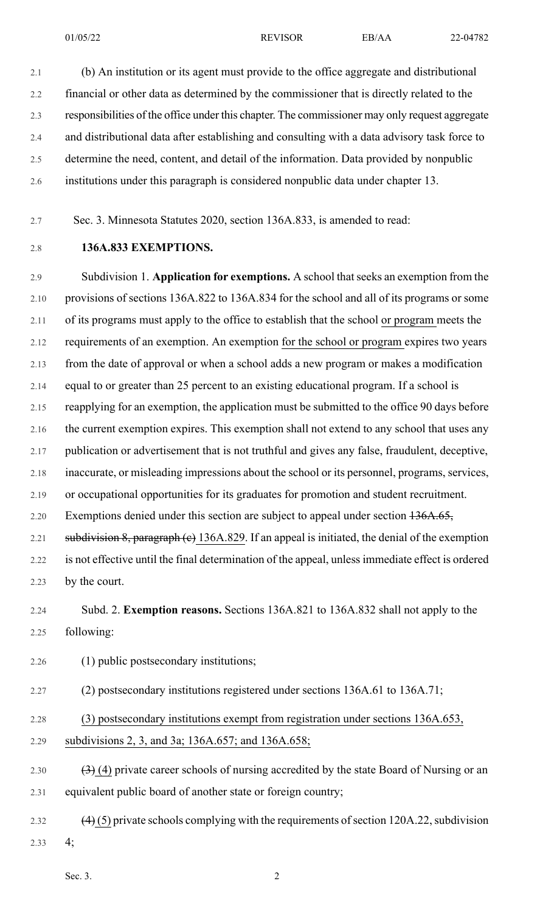01/05/22 REVISOR EB/AA 22-04782

2.1 (b) An institution or its agent must provide to the office aggregate and distributional 2.2 financial or other data as determined by the commissioner that is directly related to the 2.3 responsibilities of the office under this chapter. The commissioner may only request aggregate 2.4 and distributional data after establishing and consulting with a data advisory task force to 2.5 determine the need, content, and detail of the information. Data provided by nonpublic 2.6 institutions under this paragraph is considered nonpublic data under chapter 13.

- 2.7 Sec. 3. Minnesota Statutes 2020, section 136A.833, is amended to read:
- 

## 2.8 **136A.833 EXEMPTIONS.**

2.9 Subdivision 1. **Application for exemptions.** A school thatseeks an exemption from the 2.10 provisions of sections 136A.822 to 136A.834 for the school and all of its programs or some 2.11 of its programs must apply to the office to establish that the school or program meets the 2.12 requirements of an exemption. An exemption for the school or program expires two years 2.13 from the date of approval or when a school adds a new program or makes a modification 2.14 equal to or greater than 25 percent to an existing educational program. If a school is 2.15 reapplying for an exemption, the application must be submitted to the office 90 days before 2.16 the current exemption expires. This exemption shall not extend to any school that uses any 2.17 publication or advertisement that is not truthful and gives any false, fraudulent, deceptive, 2.18 inaccurate, or misleading impressions about the school or its personnel, programs, services, 2.19 or occupational opportunities for its graduates for promotion and student recruitment. 2.20 Exemptions denied under this section are subject to appeal under section  $136A.65$ , 2.21 subdivision 8, paragraph (e) 136A.829. If an appeal is initiated, the denial of the exemption 2.22 is not effective until the final determination of the appeal, unless immediate effect is ordered 2.23 by the court.

2.24 Subd. 2. **Exemption reasons.** Sections 136A.821 to 136A.832 shall not apply to the 2.25 following:

2.26 (1) public postsecondary institutions;

2.27 (2) postsecondary institutions registered under sections 136A.61 to 136A.71;

- 2.28 (3) postsecondary institutions exempt from registration under sections 136A.653,
- 2.29 subdivisions 2, 3, and 3a; 136A.657; and 136A.658;
- 2.30  $(3)$  (4) private career schools of nursing accredited by the state Board of Nursing or an 2.31 equivalent public board of another state or foreign country;
- 2.32  $(4)$  (5) private schools complying with the requirements of section 120A.22, subdivision 2.33 4;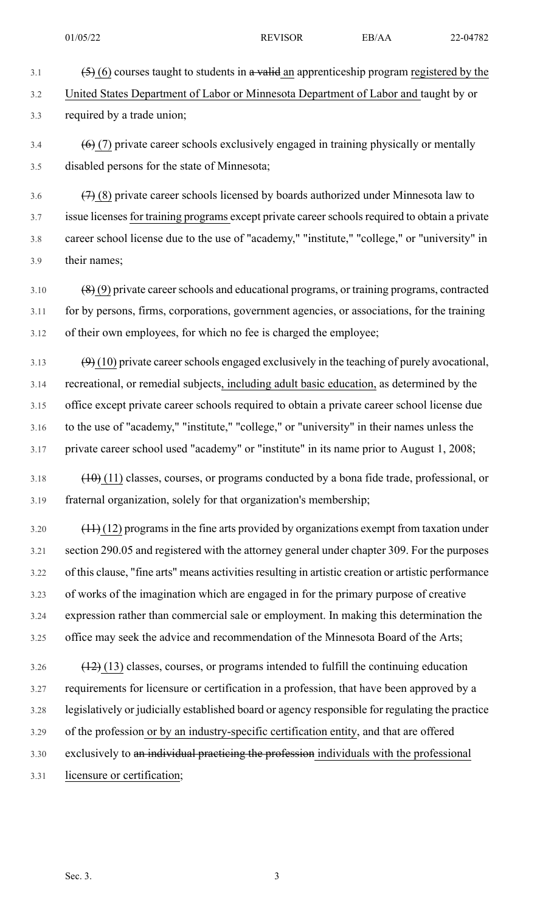- 
- 3.2 United States Department of Labor or Minnesota Department of Labor and taught by or

3.1  $\left(5\right)$  (6) courses taught to students in a valid an apprenticeship program registered by the

3.3 required by a trade union;

 $3.4$  (6) (7) private career schools exclusively engaged in training physically or mentally 3.5 disabled persons for the state of Minnesota;

3.6  $(7)$  (8) private career schools licensed by boards authorized under Minnesota law to 3.7 issue licenses for training programs except private career schools required to obtain a private 3.8 career school license due to the use of "academy," "institute," "college," or "university" in 3.9 their names;

- $3.10$  (8) (9) private career schools and educational programs, or training programs, contracted 3.11 for by persons, firms, corporations, government agencies, or associations, for the training 3.12 of their own employees, for which no fee is charged the employee;
- $3.13 \qquad (9)$  (10) private career schools engaged exclusively in the teaching of purely avocational, 3.14 recreational, or remedial subjects, including adult basic education, as determined by the 3.15 office except private career schools required to obtain a private career school license due 3.16 to the use of "academy," "institute," "college," or "university" in their names unless the 3.17 private career school used "academy" or "institute" in its name prior to August 1, 2008;
- $3.18$  (10) (11) classes, courses, or programs conducted by a bona fide trade, professional, or 3.19 fraternal organization, solely for that organization's membership;
- $3.20$  (11) (12) programs in the fine arts provided by organizations exempt from taxation under 3.21 section 290.05 and registered with the attorney general under chapter 309. For the purposes 3.22 of this clause, "fine arts" means activities resulting in artistic creation or artistic performance 3.23 of works of the imagination which are engaged in for the primary purpose of creative 3.24 expression rather than commercial sale or employment. In making this determination the 3.25 office may seek the advice and recommendation of the Minnesota Board of the Arts;
- $3.26$  (12) (13) classes, courses, or programs intended to fulfill the continuing education 3.27 requirements for licensure or certification in a profession, that have been approved by a 3.28 legislatively or judicially established board or agency responsible for regulating the practice 3.29 of the profession or by an industry-specific certification entity, and that are offered 3.30 exclusively to an individual practicing the profession individuals with the professional 3.31 licensure or certification;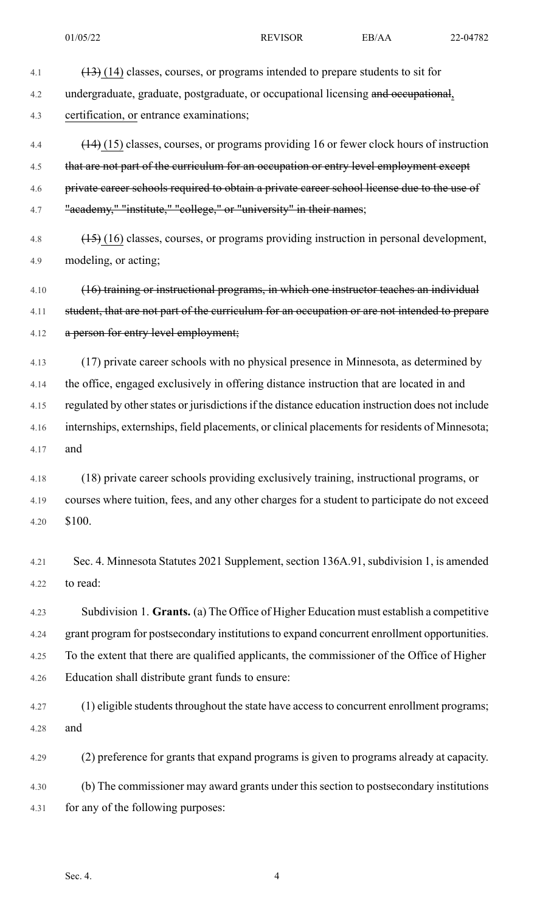- 4.1 (13) (14) classes, courses, or programs intended to prepare students to sit for 4.2 undergraduate, graduate, postgraduate, or occupational licensing and occupational, 4.3 certification, or entrance examinations; 4.4 (14) (15) classes, courses, or programs providing 16 or fewer clock hours of instruction 4.5 that are not part of the curriculum for an occupation or entry level employment except 4.6 private career schools required to obtain a private career school license due to the use of 4.7 "academy," "institute," "college," or "university" in their names; 4.8 (15) (16) classes, courses, or programs providing instruction in personal development, 4.9 modeling, or acting; 4.10 (16) training or instructional programs, in which one instructor teaches an individual 4.11 student, that are not part of the curriculum for an occupation or are not intended to prepare 4.12 a person for entry level employment; 4.13 (17) private career schools with no physical presence in Minnesota, as determined by 4.14 the office, engaged exclusively in offering distance instruction that are located in and 4.15 regulated by other states or jurisdictions if the distance education instruction does not include 4.16 internships, externships, field placements, or clinical placements for residents of Minnesota; 4.17 and 4.18 (18) private career schools providing exclusively training, instructional programs, or 4.19 courses where tuition, fees, and any other charges for a student to participate do not exceed 4.20 \$100. 4.21 Sec. 4. Minnesota Statutes 2021 Supplement, section 136A.91, subdivision 1, is amended 4.22 to read: 4.23 Subdivision 1. **Grants.** (a) The Office of Higher Education must establish a competitive 4.24 grant program for postsecondary institutions to expand concurrent enrollment opportunities. 4.25 To the extent that there are qualified applicants, the commissioner of the Office of Higher 4.26 Education shall distribute grant funds to ensure: 4.27 (1) eligible students throughout the state have access to concurrent enrollment programs; 4.28 and 4.29 (2) preference for grants that expand programs is given to programs already at capacity.
- 4.30 (b) The commissioner may award grants under this section to postsecondary institutions 4.31 for any of the following purposes: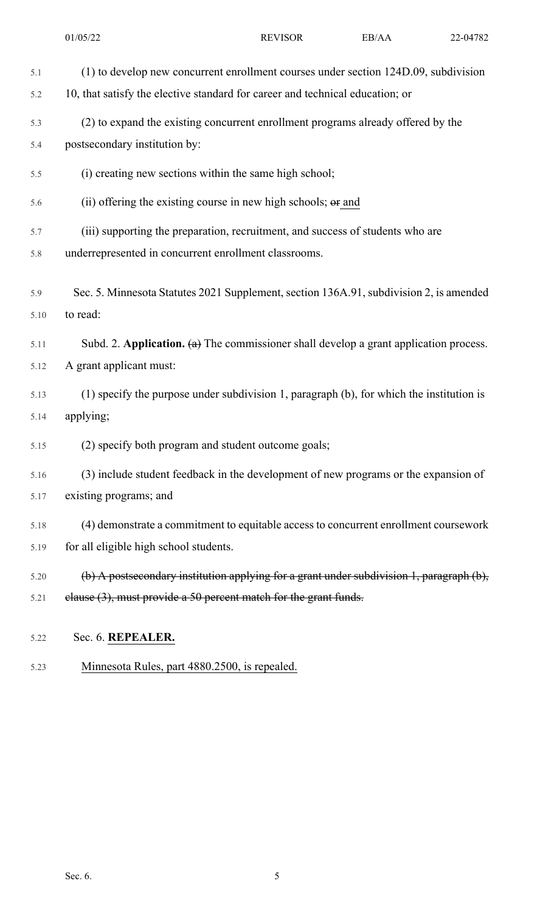|              | 01/05/22                                                                                                                                                             | <b>REVISOR</b> | EB/AA | 22-04782 |  |
|--------------|----------------------------------------------------------------------------------------------------------------------------------------------------------------------|----------------|-------|----------|--|
| 5.1<br>5.2   | (1) to develop new concurrent enrollment courses under section 124D.09, subdivision<br>10, that satisfy the elective standard for career and technical education; or |                |       |          |  |
| 5.3<br>5.4   | (2) to expand the existing concurrent enrollment programs already offered by the<br>postsecondary institution by:                                                    |                |       |          |  |
| 5.5          | (i) creating new sections within the same high school;                                                                                                               |                |       |          |  |
| 5.6          | (ii) offering the existing course in new high schools; $\Theta$ and                                                                                                  |                |       |          |  |
| 5.7<br>5.8   | (iii) supporting the preparation, recruitment, and success of students who are<br>underrepresented in concurrent enrollment classrooms.                              |                |       |          |  |
| 5.9<br>5.10  | Sec. 5. Minnesota Statutes 2021 Supplement, section 136A.91, subdivision 2, is amended<br>to read:                                                                   |                |       |          |  |
| 5.11<br>5.12 | Subd. 2. Application. $(a)$ The commissioner shall develop a grant application process.<br>A grant applicant must:                                                   |                |       |          |  |
| 5.13<br>5.14 | (1) specify the purpose under subdivision 1, paragraph (b), for which the institution is<br>applying;                                                                |                |       |          |  |
| 5.15         | (2) specify both program and student outcome goals;                                                                                                                  |                |       |          |  |
| 5.16<br>5.17 | (3) include student feedback in the development of new programs or the expansion of<br>existing programs; and                                                        |                |       |          |  |
| 5.18<br>5.19 | (4) demonstrate a commitment to equitable access to concurrent enrollment coursework<br>for all eligible high school students.                                       |                |       |          |  |
| 5.20<br>5.21 | (b) A postsecondary institution applying for a grant under subdivision 1, paragraph (b),<br>elause $(3)$ , must provide a 50 percent match for the grant funds.      |                |       |          |  |
| 5.22         | Sec. 6. REPEALER.                                                                                                                                                    |                |       |          |  |

5.23 Minnesota Rules, part 4880.2500, is repealed.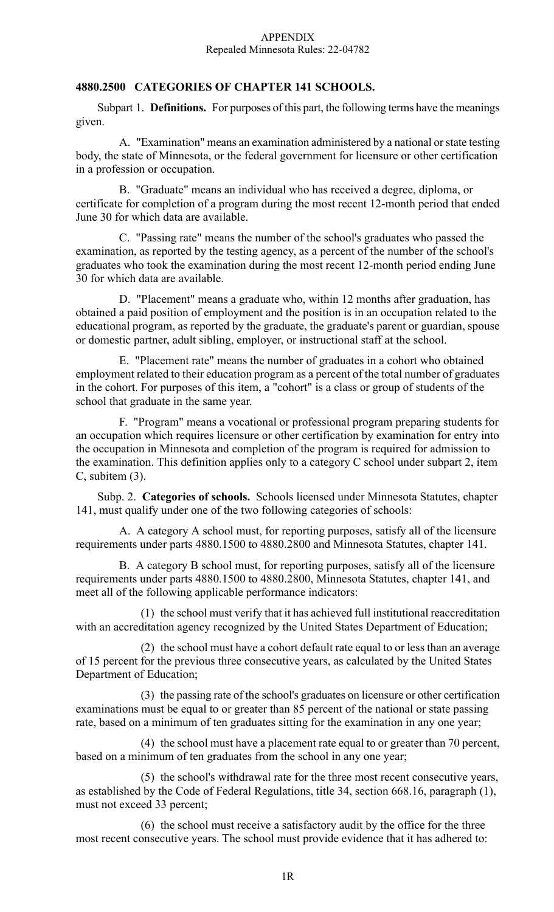## **4880.2500 CATEGORIES OF CHAPTER 141 SCHOOLS.**

Subpart 1. **Definitions.** For purposes of this part, the following terms have the meanings given.

A. "Examination" means an examination administered by a national or state testing body, the state of Minnesota, or the federal government for licensure or other certification in a profession or occupation.

B. "Graduate" means an individual who has received a degree, diploma, or certificate for completion of a program during the most recent 12-month period that ended June 30 for which data are available.

C. "Passing rate" means the number of the school's graduates who passed the examination, as reported by the testing agency, as a percent of the number of the school's graduates who took the examination during the most recent 12-month period ending June 30 for which data are available.

D. "Placement" means a graduate who, within 12 months after graduation, has obtained a paid position of employment and the position is in an occupation related to the educational program, as reported by the graduate, the graduate's parent or guardian, spouse or domestic partner, adult sibling, employer, or instructional staff at the school.

E. "Placement rate" means the number of graduates in a cohort who obtained employment related to their education program as a percent of the total number of graduates in the cohort. For purposes of this item, a "cohort" is a class or group of students of the school that graduate in the same year.

F. "Program" means a vocational or professional program preparing students for an occupation which requires licensure or other certification by examination for entry into the occupation in Minnesota and completion of the program is required for admission to the examination. This definition applies only to a category C school under subpart 2, item C, subitem (3).

Subp. 2. **Categories of schools.** Schools licensed under Minnesota Statutes, chapter 141, must qualify under one of the two following categories of schools:

A. A category A school must, for reporting purposes, satisfy all of the licensure requirements under parts 4880.1500 to 4880.2800 and Minnesota Statutes, chapter 141.

B. A category B school must, for reporting purposes, satisfy all of the licensure requirements under parts 4880.1500 to 4880.2800, Minnesota Statutes, chapter 141, and meet all of the following applicable performance indicators:

(1) the school must verify that it has achieved full institutional reaccreditation with an accreditation agency recognized by the United States Department of Education;

(2) the school must have a cohort default rate equal to or less than an average of 15 percent for the previous three consecutive years, as calculated by the United States Department of Education;

(3) the passing rate of the school's graduates on licensure or other certification examinations must be equal to or greater than 85 percent of the national or state passing rate, based on a minimum of ten graduates sitting for the examination in any one year;

(4) the school must have a placement rate equal to or greater than 70 percent, based on a minimum of ten graduates from the school in any one year;

(5) the school's withdrawal rate for the three most recent consecutive years, as established by the Code of Federal Regulations, title 34, section 668.16, paragraph (1), must not exceed 33 percent;

(6) the school must receive a satisfactory audit by the office for the three most recent consecutive years. The school must provide evidence that it has adhered to: